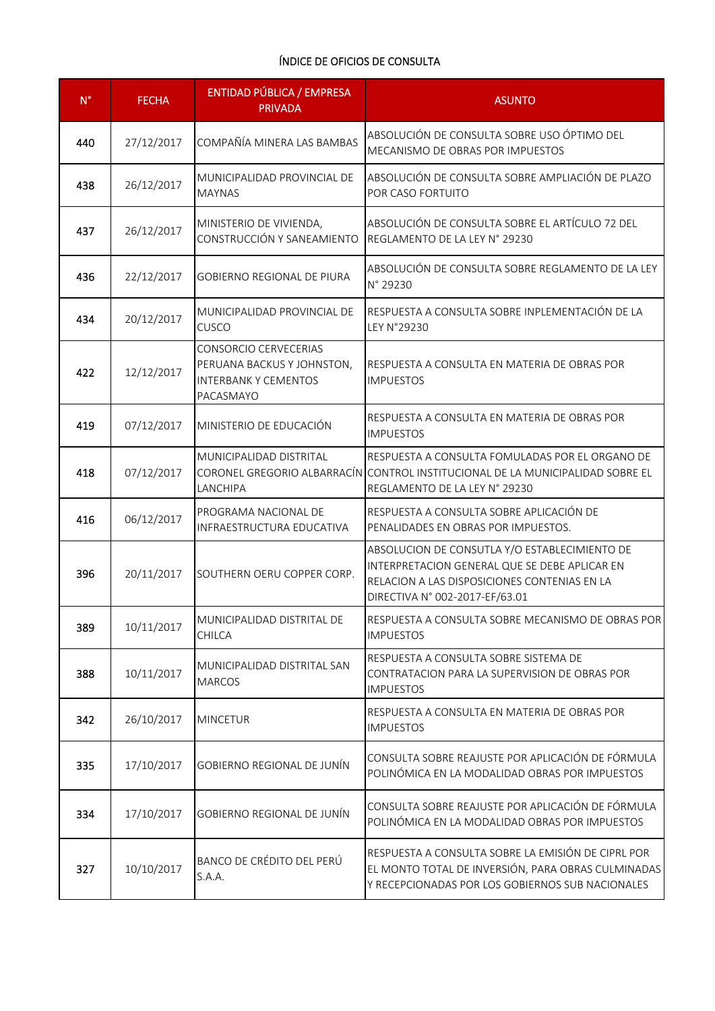| $N^{\circ}$ | <b>FECHA</b> | <b>ENTIDAD PÚBLICA / EMPRESA</b><br><b>PRIVADA</b>                                                     | <b>ASUNTO</b>                                                                                                                                                                    |
|-------------|--------------|--------------------------------------------------------------------------------------------------------|----------------------------------------------------------------------------------------------------------------------------------------------------------------------------------|
| 440         | 27/12/2017   | COMPAÑÍA MINERA LAS BAMBAS                                                                             | ABSOLUCIÓN DE CONSULTA SOBRE USO ÓPTIMO DEL<br>MECANISMO DE OBRAS POR IMPUESTOS                                                                                                  |
| 438         | 26/12/2017   | MUNICIPALIDAD PROVINCIAL DE<br><b>MAYNAS</b>                                                           | ABSOLUCIÓN DE CONSULTA SOBRE AMPLIACIÓN DE PLAZO<br>POR CASO FORTUITO                                                                                                            |
| 437         | 26/12/2017   | MINISTERIO DE VIVIENDA,<br>CONSTRUCCIÓN Y SANEAMIENTO                                                  | ABSOLUCIÓN DE CONSULTA SOBRE EL ARTÍCULO 72 DEL<br>REGLAMENTO DE LA LEY N° 29230                                                                                                 |
| 436         | 22/12/2017   | <b>GOBIERNO REGIONAL DE PIURA</b>                                                                      | ABSOLUCIÓN DE CONSULTA SOBRE REGLAMENTO DE LA LEY<br>N° 29230                                                                                                                    |
| 434         | 20/12/2017   | MUNICIPALIDAD PROVINCIAL DE<br><b>CUSCO</b>                                                            | RESPUESTA A CONSULTA SOBRE INPLEMENTACIÓN DE LA<br>LEY N°29230                                                                                                                   |
| 422         | 12/12/2017   | <b>CONSORCIO CERVECERIAS</b><br>PERUANA BACKUS Y JOHNSTON,<br><b>INTERBANK Y CEMENTOS</b><br>PACASMAYO | RESPUESTA A CONSULTA EN MATERIA DE OBRAS POR<br><b>IMPUESTOS</b>                                                                                                                 |
| 419         | 07/12/2017   | MINISTERIO DE EDUCACIÓN                                                                                | RESPUESTA A CONSULTA EN MATERIA DE OBRAS POR<br><b>IMPUESTOS</b>                                                                                                                 |
| 418         | 07/12/2017   | MUNICIPALIDAD DISTRITAL<br>LANCHIPA                                                                    | RESPUESTA A CONSULTA FOMULADAS POR EL ORGANO DE<br>CORONEL GREGORIO ALBARRACÍN CONTROL INSTITUCIONAL DE LA MUNICIPALIDAD SOBRE EL<br>REGLAMENTO DE LA LEY N° 29230               |
| 416         | 06/12/2017   | PROGRAMA NACIONAL DE<br>INFRAESTRUCTURA EDUCATIVA                                                      | RESPUESTA A CONSULTA SOBRE APLICACIÓN DE<br>PENALIDADES EN OBRAS POR IMPUESTOS.                                                                                                  |
| 396         | 20/11/2017   | SOUTHERN OERU COPPER CORP.                                                                             | ABSOLUCION DE CONSUTLA Y/O ESTABLECIMIENTO DE<br>INTERPRETACION GENERAL QUE SE DEBE APLICAR EN<br>RELACION A LAS DISPOSICIONES CONTENIAS EN LA<br>DIRECTIVA N° 002-2017-EF/63.01 |
| 389         | 10/11/2017   | MUNICIPALIDAD DISTRITAL DE<br>CHILCA                                                                   | RESPUESTA A CONSULTA SOBRE MECANISMO DE OBRAS POR<br><b>IMPUESTOS</b>                                                                                                            |
| 388         | 10/11/2017   | MUNICIPALIDAD DISTRITAL SAN<br><b>MARCOS</b>                                                           | RESPUESTA A CONSULTA SOBRE SISTEMA DE<br>CONTRATACION PARA LA SUPERVISION DE OBRAS POR<br><b>IMPUESTOS</b>                                                                       |
| 342         | 26/10/2017   | <b>MINCETUR</b>                                                                                        | RESPUESTA A CONSULTA EN MATERIA DE OBRAS POR<br><b>IMPUESTOS</b>                                                                                                                 |
| 335         | 17/10/2017   | <b>GOBIERNO REGIONAL DE JUNÍN</b>                                                                      | CONSULTA SOBRE REAJUSTE POR APLICACIÓN DE FÓRMULA<br>POLINÓMICA EN LA MODALIDAD OBRAS POR IMPUESTOS                                                                              |
| 334         | 17/10/2017   | <b>GOBIERNO REGIONAL DE JUNÍN</b>                                                                      | CONSULTA SOBRE REAJUSTE POR APLICACIÓN DE FÓRMULA<br>POLINÓMICA EN LA MODALIDAD OBRAS POR IMPUESTOS                                                                              |
| 327         | 10/10/2017   | BANCO DE CRÉDITO DEL PERÚ<br>S.A.A.                                                                    | RESPUESTA A CONSULTA SOBRE LA EMISIÓN DE CIPRL POR<br>EL MONTO TOTAL DE INVERSIÓN, PARA OBRAS CULMINADAS<br>Y RECEPCIONADAS POR LOS GOBIERNOS SUB NACIONALES                     |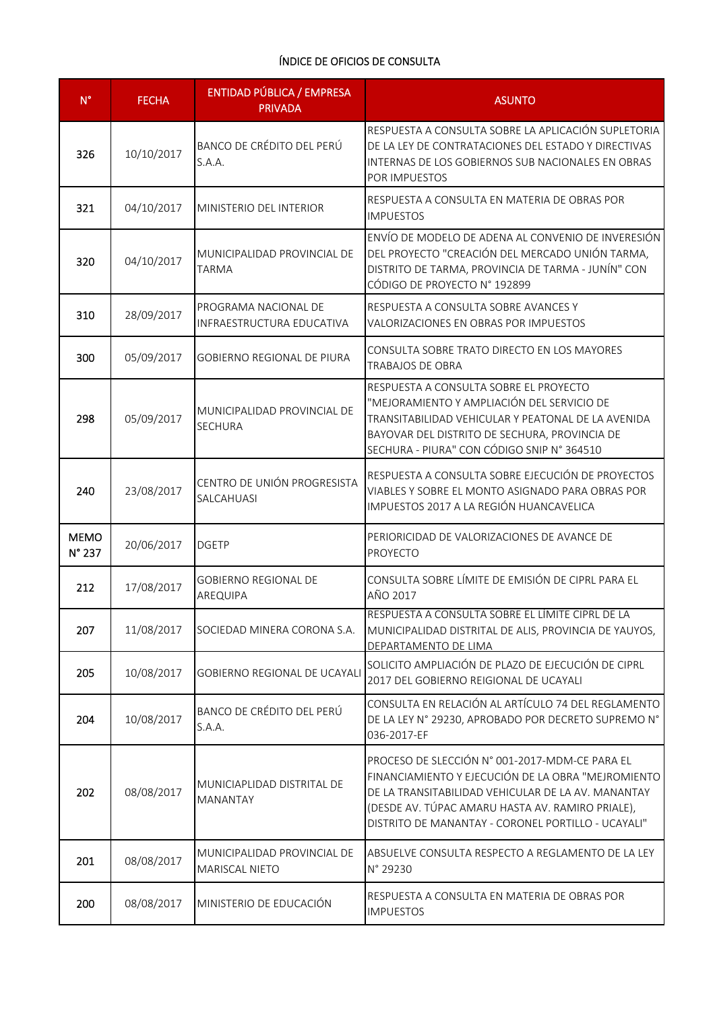| $N^{\circ}$           | <b>FECHA</b> | <b>ENTIDAD PÚBLICA / EMPRESA</b><br><b>PRIVADA</b> | <b>ASUNTO</b>                                                                                                                                                                                                                                                        |
|-----------------------|--------------|----------------------------------------------------|----------------------------------------------------------------------------------------------------------------------------------------------------------------------------------------------------------------------------------------------------------------------|
| 326                   | 10/10/2017   | BANCO DE CRÉDITO DEL PERÚ<br>S.A.A.                | RESPUESTA A CONSULTA SOBRE LA APLICACIÓN SUPLETORIA<br>DE LA LEY DE CONTRATACIONES DEL ESTADO Y DIRECTIVAS<br>INTERNAS DE LOS GOBIERNOS SUB NACIONALES EN OBRAS<br>POR IMPUESTOS                                                                                     |
| 321                   | 04/10/2017   | MINISTERIO DEL INTERIOR                            | RESPUESTA A CONSULTA EN MATERIA DE OBRAS POR<br><b>IMPUESTOS</b>                                                                                                                                                                                                     |
| 320                   | 04/10/2017   | MUNICIPALIDAD PROVINCIAL DE<br><b>TARMA</b>        | ENVÍO DE MODELO DE ADENA AL CONVENIO DE INVERESIÓN<br>DEL PROYECTO "CREACIÓN DEL MERCADO UNIÓN TARMA,<br>DISTRITO DE TARMA, PROVINCIA DE TARMA - JUNÍN" CON<br>CÓDIGO DE PROYECTO Nº 192899                                                                          |
| 310                   | 28/09/2017   | PROGRAMA NACIONAL DE<br>INFRAESTRUCTURA EDUCATIVA  | RESPUESTA A CONSULTA SOBRE AVANCES Y<br>VALORIZACIONES EN OBRAS POR IMPUESTOS                                                                                                                                                                                        |
| 300                   | 05/09/2017   | <b>GOBIERNO REGIONAL DE PIURA</b>                  | CONSULTA SOBRE TRATO DIRECTO EN LOS MAYORES<br><b>TRABAJOS DE OBRA</b>                                                                                                                                                                                               |
| 298                   | 05/09/2017   | MUNICIPALIDAD PROVINCIAL DE<br><b>SECHURA</b>      | RESPUESTA A CONSULTA SOBRE EL PROYECTO<br>"MEJORAMIENTO Y AMPLIACIÓN DEL SERVICIO DE<br>TRANSITABILIDAD VEHICULAR Y PEATONAL DE LA AVENIDA<br>BAYOVAR DEL DISTRITO DE SECHURA, PROVINCIA DE<br>SECHURA - PIURA" CON CÓDIGO SNIP Nº 364510                            |
| 240                   | 23/08/2017   | CENTRO DE UNIÓN PROGRESISTA<br>SALCAHUASI          | RESPUESTA A CONSULTA SOBRE EJECUCIÓN DE PROYECTOS<br>VIABLES Y SOBRE EL MONTO ASIGNADO PARA OBRAS POR<br>IMPUESTOS 2017 A LA REGIÓN HUANCAVELICA                                                                                                                     |
| <b>MEMO</b><br>N° 237 | 20/06/2017   | <b>DGETP</b>                                       | PERIORICIDAD DE VALORIZACIONES DE AVANCE DE<br>PROYECTO                                                                                                                                                                                                              |
| 212                   | 17/08/2017   | <b>GOBIERNO REGIONAL DE</b><br>AREQUIPA            | CONSULTA SOBRE LÍMITE DE EMISIÓN DE CIPRL PARA EL<br>AÑO 2017                                                                                                                                                                                                        |
| 207                   | 11/08/2017   | SOCIEDAD MINERA CORONA S.A.                        | RESPUESTA A CONSULTA SOBRE EL LÍMITE CIPRL DE LA<br>MUNICIPALIDAD DISTRITAL DE ALIS, PROVINCIA DE YAUYOS,<br>DEPARTAMENTO DE LIMA                                                                                                                                    |
| 205                   | 10/08/2017   | GOBIERNO REGIONAL DE UCAYALI                       | SOLICITO AMPLIACIÓN DE PLAZO DE EJECUCIÓN DE CIPRL<br>2017 DEL GOBIERNO REIGIONAL DE UCAYALI                                                                                                                                                                         |
| 204                   | 10/08/2017   | BANCO DE CRÉDITO DEL PERÚ<br>S.A.A.                | CONSULTA EN RELACIÓN AL ARTÍCULO 74 DEL REGLAMENTO<br>DE LA LEY N° 29230, APROBADO POR DECRETO SUPREMO N°<br>036-2017-EF                                                                                                                                             |
| 202                   | 08/08/2017   | MUNICIAPLIDAD DISTRITAL DE<br><b>MANANTAY</b>      | PROCESO DE SLECCIÓN Nº 001-2017-MDM-CE PARA EL<br>FINANCIAMIENTO Y EJECUCIÓN DE LA OBRA "MEJROMIENTO<br>DE LA TRANSITABILIDAD VEHICULAR DE LA AV. MANANTAY<br>(DESDE AV. TÚPAC AMARU HASTA AV. RAMIRO PRIALE),<br>DISTRITO DE MANANTAY - CORONEL PORTILLO - UCAYALI" |
| 201                   | 08/08/2017   | MUNICIPALIDAD PROVINCIAL DE<br>MARISCAL NIETO      | ABSUELVE CONSULTA RESPECTO A REGLAMENTO DE LA LEY<br>N° 29230                                                                                                                                                                                                        |
| 200                   | 08/08/2017   | MINISTERIO DE EDUCACIÓN                            | RESPUESTA A CONSULTA EN MATERIA DE OBRAS POR<br><b>IMPUESTOS</b>                                                                                                                                                                                                     |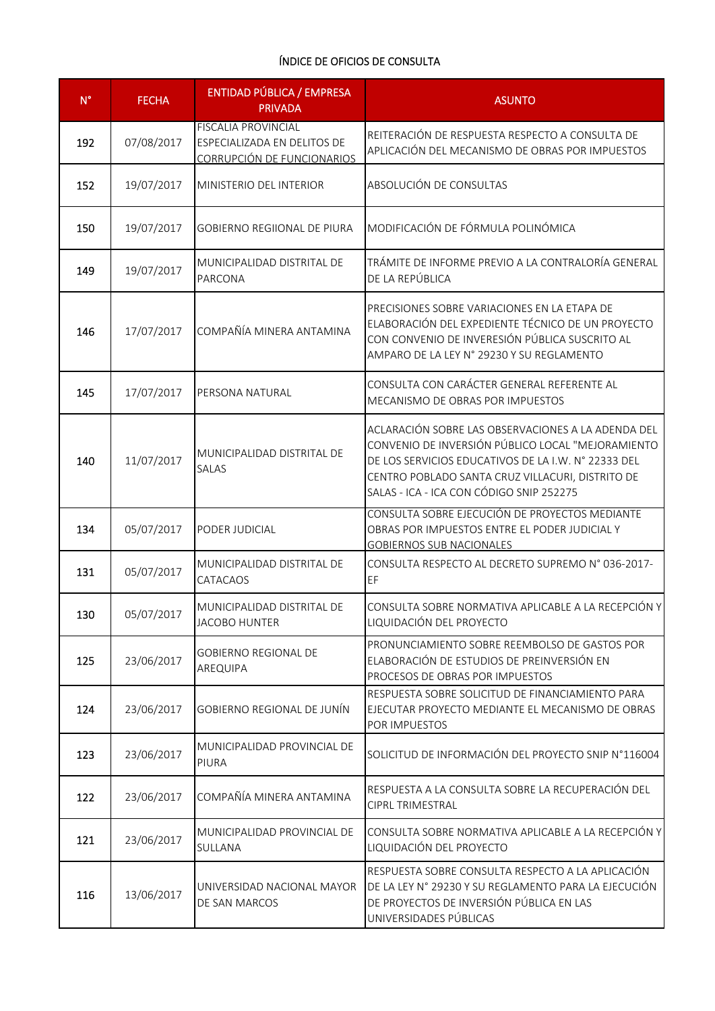| $N^{\circ}$ | <b>FECHA</b> | <b>ENTIDAD PÚBLICA / EMPRESA</b><br><b>PRIVADA</b>                                      | <b>ASUNTO</b>                                                                                                                                                                                                                                                  |
|-------------|--------------|-----------------------------------------------------------------------------------------|----------------------------------------------------------------------------------------------------------------------------------------------------------------------------------------------------------------------------------------------------------------|
| 192         | 07/08/2017   | <b>FISCALIA PROVINCIAL</b><br>ESPECIALIZADA EN DELITOS DE<br>CORRUPCIÓN DE FUNCIONARIOS | REITERACIÓN DE RESPUESTA RESPECTO A CONSULTA DE<br>APLICACIÓN DEL MECANISMO DE OBRAS POR IMPUESTOS                                                                                                                                                             |
| 152         | 19/07/2017   | MINISTERIO DEL INTERIOR                                                                 | ABSOLUCIÓN DE CONSULTAS                                                                                                                                                                                                                                        |
| 150         | 19/07/2017   | <b>GOBIERNO REGIIONAL DE PIURA</b>                                                      | MODIFICACIÓN DE FÓRMULA POLINÓMICA                                                                                                                                                                                                                             |
| 149         | 19/07/2017   | MUNICIPALIDAD DISTRITAL DE<br><b>PARCONA</b>                                            | TRÁMITE DE INFORME PREVIO A LA CONTRALORÍA GENERAL<br>DE LA REPÚBLICA                                                                                                                                                                                          |
| 146         | 17/07/2017   | COMPAÑÍA MINERA ANTAMINA                                                                | PRECISIONES SOBRE VARIACIONES EN LA ETAPA DE<br>ELABORACIÓN DEL EXPEDIENTE TÉCNICO DE UN PROYECTO<br>CON CONVENIO DE INVERESIÓN PÚBLICA SUSCRITO AL<br>AMPARO DE LA LEY N° 29230 Y SU REGLAMENTO                                                               |
| 145         | 17/07/2017   | PERSONA NATURAL                                                                         | CONSULTA CON CARÁCTER GENERAL REFERENTE AL<br>MECANISMO DE OBRAS POR IMPUESTOS                                                                                                                                                                                 |
| 140         | 11/07/2017   | MUNICIPALIDAD DISTRITAL DE<br>SALAS                                                     | ACLARACIÓN SOBRE LAS OBSERVACIONES A LA ADENDA DEL<br>CONVENIO DE INVERSIÓN PÚBLICO LOCAL "MEJORAMIENTO<br>DE LOS SERVICIOS EDUCATIVOS DE LA I.W. Nº 22333 DEL<br>CENTRO POBLADO SANTA CRUZ VILLACURI, DISTRITO DE<br>SALAS - ICA - ICA CON CÓDIGO SNIP 252275 |
| 134         | 05/07/2017   | PODER JUDICIAL                                                                          | CONSULTA SOBRE EJECUCIÓN DE PROYECTOS MEDIANTE<br>OBRAS POR IMPUESTOS ENTRE EL PODER JUDICIAL Y<br><b>GOBIERNOS SUB NACIONALES</b>                                                                                                                             |
| 131         | 05/07/2017   | MUNICIPALIDAD DISTRITAL DE<br>CATACAOS                                                  | CONSULTA RESPECTO AL DECRETO SUPREMO N° 036-2017-<br>EF                                                                                                                                                                                                        |
| 130         | 05/07/2017   | MUNICIPALIDAD DISTRITAL DE<br><b>JACOBO HUNTER</b>                                      | CONSULTA SOBRE NORMATIVA APLICABLE A LA RECEPCIÓN Y<br>LIQUIDACIÓN DEL PROYECTO                                                                                                                                                                                |
| 125         | 23/06/2017   | <b>GOBIERNO REGIONAL DE</b><br>AREQUIPA                                                 | PRONUNCIAMIENTO SOBRE REEMBOLSO DE GASTOS POR<br>ELABORACIÓN DE ESTUDIOS DE PREINVERSIÓN EN<br>PROCESOS DE OBRAS POR IMPUESTOS                                                                                                                                 |
| 124         | 23/06/2017   | GOBIERNO REGIONAL DE JUNÍN                                                              | RESPUESTA SOBRE SOLICITUD DE FINANCIAMIENTO PARA<br>EJECUTAR PROYECTO MEDIANTE EL MECANISMO DE OBRAS<br>POR IMPUESTOS                                                                                                                                          |
| 123         | 23/06/2017   | MUNICIPALIDAD PROVINCIAL DE<br>PIURA                                                    | SOLICITUD DE INFORMACIÓN DEL PROYECTO SNIP N°116004                                                                                                                                                                                                            |
| 122         | 23/06/2017   | COMPAÑÍA MINERA ANTAMINA                                                                | RESPUESTA A LA CONSULTA SOBRE LA RECUPERACIÓN DEL<br>CIPRL TRIMESTRAL                                                                                                                                                                                          |
| 121         | 23/06/2017   | MUNICIPALIDAD PROVINCIAL DE<br>SULLANA                                                  | CONSULTA SOBRE NORMATIVA APLICABLE A LA RECEPCIÓN Y<br>LIQUIDACIÓN DEL PROYECTO                                                                                                                                                                                |
| 116         | 13/06/2017   | UNIVERSIDAD NACIONAL MAYOR<br>DE SAN MARCOS                                             | RESPUESTA SOBRE CONSULTA RESPECTO A LA APLICACIÓN<br>DE LA LEY N° 29230 Y SU REGLAMENTO PARA LA EJECUCIÓN<br>DE PROYECTOS DE INVERSIÓN PÚBLICA EN LAS<br>UNIVERSIDADES PÚBLICAS                                                                                |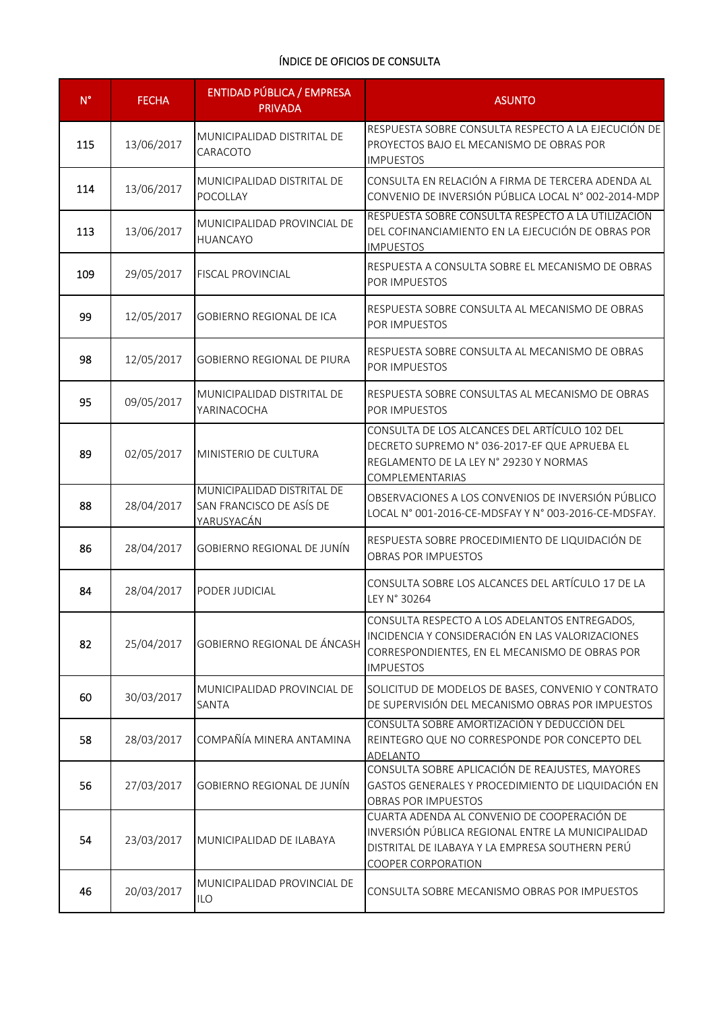| $N^{\circ}$ | <b>FECHA</b> | ENTIDAD PÚBLICA / EMPRESA<br><b>PRIVADA</b>                          | <b>ASUNTO</b>                                                                                                                                                             |
|-------------|--------------|----------------------------------------------------------------------|---------------------------------------------------------------------------------------------------------------------------------------------------------------------------|
| 115         | 13/06/2017   | MUNICIPALIDAD DISTRITAL DE<br>CARACOTO                               | RESPUESTA SOBRE CONSULTA RESPECTO A LA EJECUCIÓN DE<br>PROYECTOS BAJO EL MECANISMO DE OBRAS POR<br><b>IMPUESTOS</b>                                                       |
| 114         | 13/06/2017   | MUNICIPALIDAD DISTRITAL DE<br><b>POCOLLAY</b>                        | CONSULTA EN RELACIÓN A FIRMA DE TERCERA ADENDA AL<br>CONVENIO DE INVERSIÓN PÚBLICA LOCAL N° 002-2014-MDP                                                                  |
| 113         | 13/06/2017   | MUNICIPALIDAD PROVINCIAL DE<br><b>HUANCAYO</b>                       | RESPUESTA SOBRE CONSULTA RESPECTO A LA UTILIZACIÓN<br>DEL COFINANCIAMIENTO EN LA EJECUCIÓN DE OBRAS POR<br><b>IMPUESTOS</b>                                               |
| 109         | 29/05/2017   | <b>FISCAL PROVINCIAL</b>                                             | RESPUESTA A CONSULTA SOBRE EL MECANISMO DE OBRAS<br>POR IMPUESTOS                                                                                                         |
| 99          | 12/05/2017   | <b>GOBIERNO REGIONAL DE ICA</b>                                      | RESPUESTA SOBRE CONSULTA AL MECANISMO DE OBRAS<br>POR IMPUESTOS                                                                                                           |
| 98          | 12/05/2017   | <b>GOBIERNO REGIONAL DE PIURA</b>                                    | RESPUESTA SOBRE CONSULTA AL MECANISMO DE OBRAS<br>POR IMPUESTOS                                                                                                           |
| 95          | 09/05/2017   | MUNICIPALIDAD DISTRITAL DE<br>YARINACOCHA                            | RESPUESTA SOBRE CONSULTAS AL MECANISMO DE OBRAS<br>POR IMPUESTOS                                                                                                          |
| 89          | 02/05/2017   | MINISTERIO DE CULTURA                                                | CONSULTA DE LOS ALCANCES DEL ARTÍCULO 102 DEL<br>DECRETO SUPREMO N° 036-2017-EF QUE APRUEBA EL<br>REGLAMENTO DE LA LEY N° 29230 Y NORMAS<br>COMPLEMENTARIAS               |
| 88          | 28/04/2017   | MUNICIPALIDAD DISTRITAL DE<br>SAN FRANCISCO DE ASÍS DE<br>YARUSYACÁN | OBSERVACIONES A LOS CONVENIOS DE INVERSIÓN PÚBLICO<br>LOCAL N° 001-2016-CE-MDSFAY Y N° 003-2016-CE-MDSFAY.                                                                |
| 86          | 28/04/2017   | <b>GOBIERNO REGIONAL DE JUNÍN</b>                                    | RESPUESTA SOBRE PROCEDIMIENTO DE LIQUIDACIÓN DE<br>OBRAS POR IMPUESTOS                                                                                                    |
| 84          | 28/04/2017   | PODER JUDICIAL                                                       | CONSULTA SOBRE LOS ALCANCES DEL ARTÍCULO 17 DE LA<br>LEY N° 30264                                                                                                         |
| 82          | 25/04/2017   | GOBIERNO REGIONAL DE ÁNCASH                                          | CONSULTA RESPECTO A LOS ADELANTOS ENTREGADOS,<br>INCIDENCIA Y CONSIDERACIÓN EN LAS VALORIZACIONES<br>CORRESPONDIENTES, EN EL MECANISMO DE OBRAS POR<br><b>IMPUESTOS</b>   |
| 60          | 30/03/2017   | MUNICIPALIDAD PROVINCIAL DE<br>SANTA                                 | SOLICITUD DE MODELOS DE BASES, CONVENIO Y CONTRATO<br>DE SUPERVISIÓN DEL MECANISMO OBRAS POR IMPUESTOS                                                                    |
| 58          | 28/03/2017   | COMPAÑÍA MINERA ANTAMINA                                             | CONSULTA SOBRE AMORTIZACIÓN Y DEDUCCIÓN DEL<br>REINTEGRO QUE NO CORRESPONDE POR CONCEPTO DEL<br><b>ADELANTO</b>                                                           |
| 56          | 27/03/2017   | <b>GOBIERNO REGIONAL DE JUNÍN</b>                                    | CONSULTA SOBRE APLICACIÓN DE REAJUSTES, MAYORES<br>GASTOS GENERALES Y PROCEDIMIENTO DE LIQUIDACIÓN EN<br><b>OBRAS POR IMPUESTOS</b>                                       |
| 54          | 23/03/2017   | MUNICIPALIDAD DE ILABAYA                                             | CUARTA ADENDA AL CONVENIO DE COOPERACIÓN DE<br>INVERSIÓN PÚBLICA REGIONAL ENTRE LA MUNICIPALIDAD<br>DISTRITAL DE ILABAYA Y LA EMPRESA SOUTHERN PERÚ<br>COOPER CORPORATION |
| 46          | 20/03/2017   | MUNICIPALIDAD PROVINCIAL DE<br><b>ILO</b>                            | CONSULTA SOBRE MECANISMO OBRAS POR IMPUESTOS                                                                                                                              |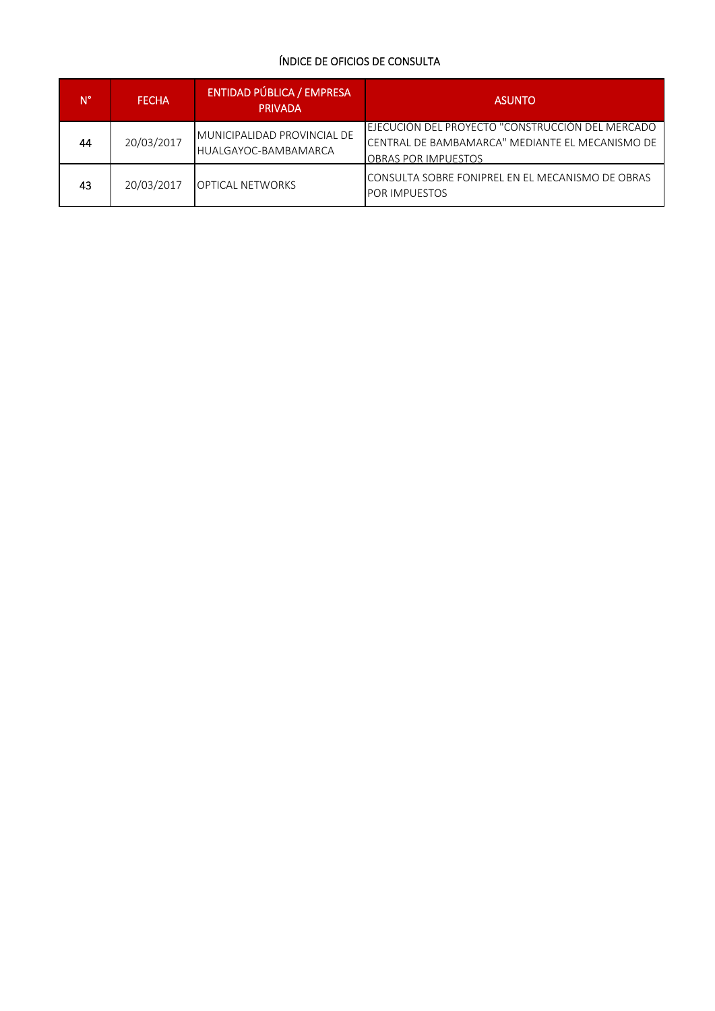| N° | <b>FECHA</b> | <b>ENTIDAD PÚBLICA / EMPRESA</b><br><b>PRIVADA</b>  | <b>ASUNTO</b>                                                                                                                     |
|----|--------------|-----------------------------------------------------|-----------------------------------------------------------------------------------------------------------------------------------|
| 44 | 20/03/2017   | MUNICIPALIDAD PROVINCIAL DE<br>HUALGAYOC-BAMBAMARCA | EJECUCIÓN DEL PROYECTO "CONSTRUCCIÓN DEL MERCADO<br>CENTRAL DE BAMBAMARCA" MEDIANTE EL MECANISMO DE<br><b>OBRAS POR IMPUESTOS</b> |
| 43 | 20/03/2017   | <b>OPTICAL NETWORKS</b>                             | CONSULTA SOBRE FONIPREL EN EL MECANISMO DE OBRAS<br><b>POR IMPUESTOS</b>                                                          |